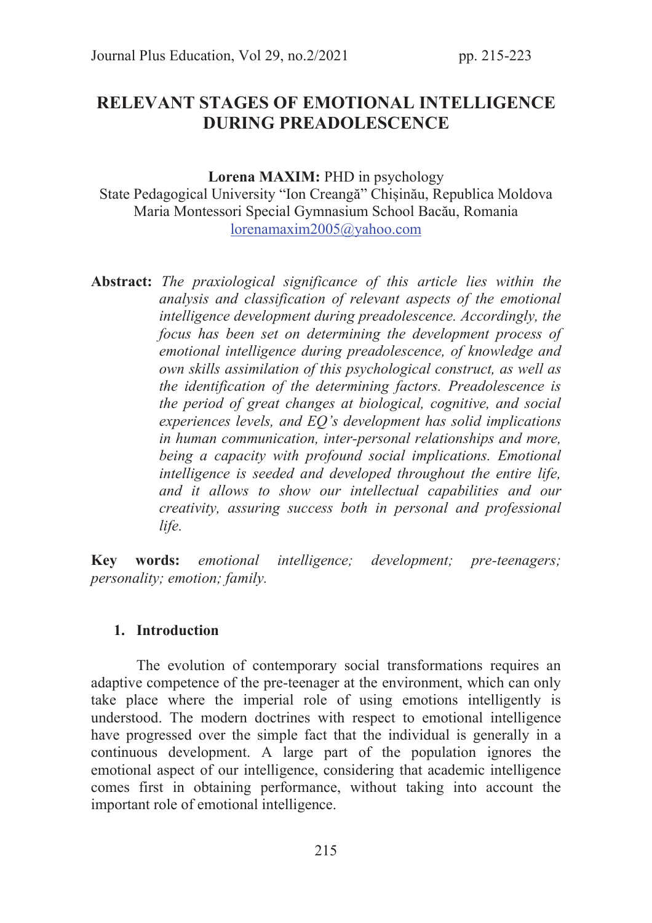# RELEVANT STAGES OF EMOTIONAL INTELLIGENCE DURING PREADOLESCENCE

Lorena MAXIM: PHD in psychology

State Pedagogical University "Ion Creangă" Chișinău, Republica Moldova Maria Montessori Special Gymnasium School Bacău, Romania lorenamaxim2005@yahoo.com

Abstract: The praxiological significance of this article lies within the analysis and classification of relevant aspects of the emotional intelligence development during preadolescence. Accordingly, the focus has been set on determining the development process of emotional intelligence during preadolescence, of knowledge and own skills assimilation of this psychological construct, as well as the identification of the determining factors. Preadolescence is the period of great changes at biological, cognitive, and social experiences levels, and EQ's development has solid implications in human communication, inter-personal relationships and more, being a capacity with profound social implications. Emotional intelligence is seeded and developed throughout the entire life, and it allows to show our intellectual capabilities and our creativity, assuring success both in personal and professional life.

Key words: emotional intelligence; development; pre-teenagers; personality; emotion; family.

### 1. Introduction

The evolution of contemporary social transformations requires an adaptive competence of the pre-teenager at the environment, which can only take place where the imperial role of using emotions intelligently is understood. The modern doctrines with respect to emotional intelligence have progressed over the simple fact that the individual is generally in a continuous development. A large part of the population ignores the emotional aspect of our intelligence, considering that academic intelligence comes first in obtaining performance, without taking into account the important role of emotional intelligence.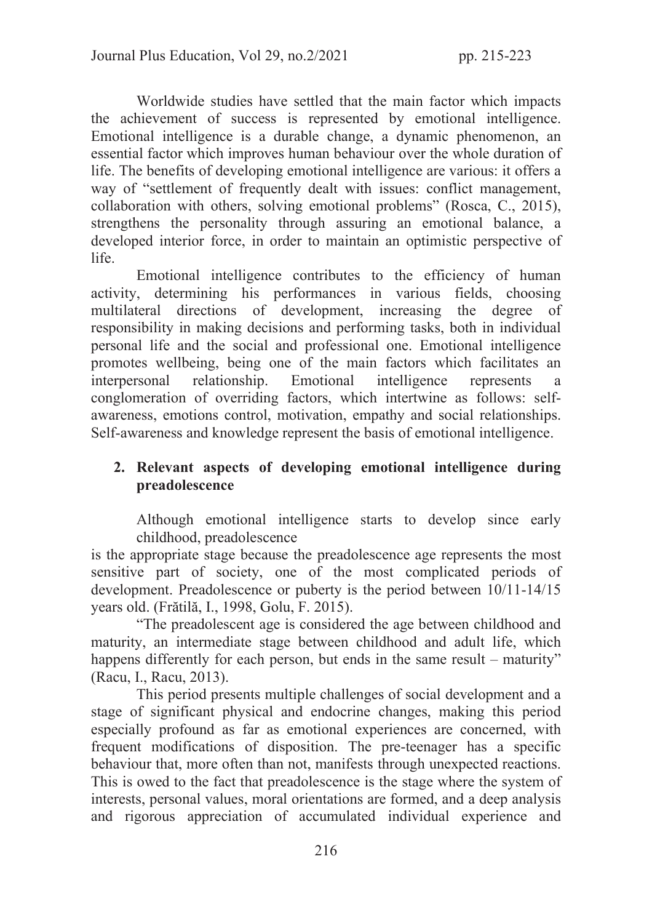Worldwide studies have settled that the main factor which impacts the achievement of success is represented by emotional intelligence. Emotional intelligence is a durable change, a dynamic phenomenon, an essential factor which improves human behaviour over the whole duration of life. The benefits of developing emotional intelligence are various: it offers a way of "settlement of frequently dealt with issues: conflict management, collaboration with others, solving emotional problems" (Rosca, C., 2015), strengthens the personality through assuring an emotional balance, a developed interior force, in order to maintain an optimistic perspective of life.

Emotional intelligence contributes to the efficiency of human activity, determining his performances in various fields, choosing multilateral directions of development, increasing the degree of responsibility in making decisions and performing tasks, both in individual personal life and the social and professional one. Emotional intelligence promotes wellbeing, being one of the main factors which facilitates an interpersonal relationship. Emotional intelligence represents a conglomeration of overriding factors, which intertwine as follows: selfawareness, emotions control, motivation, empathy and social relationships. Self-awareness and knowledge represent the basis of emotional intelligence.

## 2. Relevant aspects of developing emotional intelligence during preadolescence

Although emotional intelligence starts to develop since early childhood, preadolescence

is the appropriate stage because the preadolescence age represents the most sensitive part of society, one of the most complicated periods of development. Preadolescence or puberty is the period between 10/11-14/15 years old. (Frătilă, I., 1998, Golu, F. 2015).

 "The preadolescent age is considered the age between childhood and maturity, an intermediate stage between childhood and adult life, which happens differently for each person, but ends in the same result – maturity" (Racu, I., Racu, 2013).

 This period presents multiple challenges of social development and a stage of significant physical and endocrine changes, making this period especially profound as far as emotional experiences are concerned, with frequent modifications of disposition. The pre-teenager has a specific behaviour that, more often than not, manifests through unexpected reactions. This is owed to the fact that preadolescence is the stage where the system of interests, personal values, moral orientations are formed, and a deep analysis and rigorous appreciation of accumulated individual experience and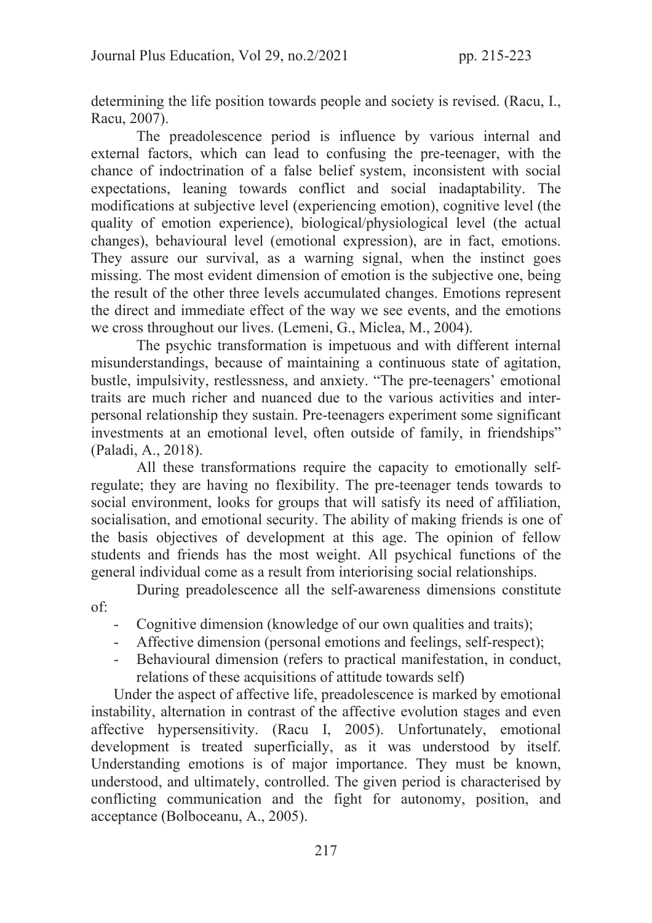determining the life position towards people and society is revised. (Racu, I., Racu, 2007).

 The preadolescence period is influence by various internal and external factors, which can lead to confusing the pre-teenager, with the chance of indoctrination of a false belief system, inconsistent with social expectations, leaning towards conflict and social inadaptability. The modifications at subjective level (experiencing emotion), cognitive level (the quality of emotion experience), biological/physiological level (the actual changes), behavioural level (emotional expression), are in fact, emotions. They assure our survival, as a warning signal, when the instinct goes missing. The most evident dimension of emotion is the subjective one, being the result of the other three levels accumulated changes. Emotions represent the direct and immediate effect of the way we see events, and the emotions we cross throughout our lives. (Lemeni, G., Miclea, M., 2004).

 The psychic transformation is impetuous and with different internal misunderstandings, because of maintaining a continuous state of agitation, bustle, impulsivity, restlessness, and anxiety. "The pre-teenagers' emotional traits are much richer and nuanced due to the various activities and interpersonal relationship they sustain. Pre-teenagers experiment some significant investments at an emotional level, often outside of family, in friendships" (Paladi, A., 2018).

 All these transformations require the capacity to emotionally selfregulate; they are having no flexibility. The pre-teenager tends towards to social environment, looks for groups that will satisfy its need of affiliation, socialisation, and emotional security. The ability of making friends is one of the basis objectives of development at this age. The opinion of fellow students and friends has the most weight. All psychical functions of the general individual come as a result from interiorising social relationships.

 During preadolescence all the self-awareness dimensions constitute of:

- Cognitive dimension (knowledge of our own qualities and traits);
- Affective dimension (personal emotions and feelings, self-respect);
- Behavioural dimension (refers to practical manifestation, in conduct, relations of these acquisitions of attitude towards self)

Under the aspect of affective life, preadolescence is marked by emotional instability, alternation in contrast of the affective evolution stages and even affective hypersensitivity. (Racu I, 2005). Unfortunately, emotional development is treated superficially, as it was understood by itself. Understanding emotions is of major importance. They must be known, understood, and ultimately, controlled. The given period is characterised by conflicting communication and the fight for autonomy, position, and acceptance (Bolboceanu, A., 2005).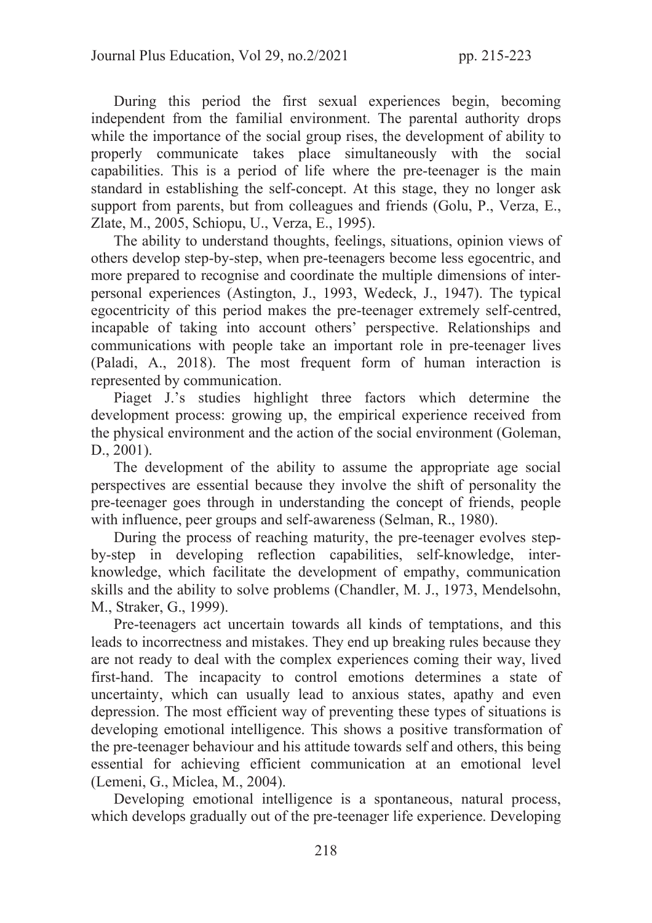During this period the first sexual experiences begin, becoming independent from the familial environment. The parental authority drops while the importance of the social group rises, the development of ability to properly communicate takes place simultaneously with the social capabilities. This is a period of life where the pre-teenager is the main standard in establishing the self-concept. At this stage, they no longer ask support from parents, but from colleagues and friends (Golu, P., Verza, E., Zlate, M., 2005, Schiopu, U., Verza, E., 1995).

The ability to understand thoughts, feelings, situations, opinion views of others develop step-by-step, when pre-teenagers become less egocentric, and more prepared to recognise and coordinate the multiple dimensions of interpersonal experiences (Astington, J., 1993, Wedeck, J., 1947). The typical egocentricity of this period makes the pre-teenager extremely self-centred, incapable of taking into account others' perspective. Relationships and communications with people take an important role in pre-teenager lives (Paladi, A., 2018). The most frequent form of human interaction is represented by communication.

Piaget J.'s studies highlight three factors which determine the development process: growing up, the empirical experience received from the physical environment and the action of the social environment (Goleman, D., 2001).

The development of the ability to assume the appropriate age social perspectives are essential because they involve the shift of personality the pre-teenager goes through in understanding the concept of friends, people with influence, peer groups and self-awareness (Selman, R., 1980).

During the process of reaching maturity, the pre-teenager evolves stepby-step in developing reflection capabilities, self-knowledge, interknowledge, which facilitate the development of empathy, communication skills and the ability to solve problems (Chandler, M. J., 1973, Mendelsohn, M., Straker, G., 1999).

Pre-teenagers act uncertain towards all kinds of temptations, and this leads to incorrectness and mistakes. They end up breaking rules because they are not ready to deal with the complex experiences coming their way, lived first-hand. The incapacity to control emotions determines a state of uncertainty, which can usually lead to anxious states, apathy and even depression. The most efficient way of preventing these types of situations is developing emotional intelligence. This shows a positive transformation of the pre-teenager behaviour and his attitude towards self and others, this being essential for achieving efficient communication at an emotional level (Lemeni, G., Miclea, M., 2004).

Developing emotional intelligence is a spontaneous, natural process, which develops gradually out of the pre-teenager life experience. Developing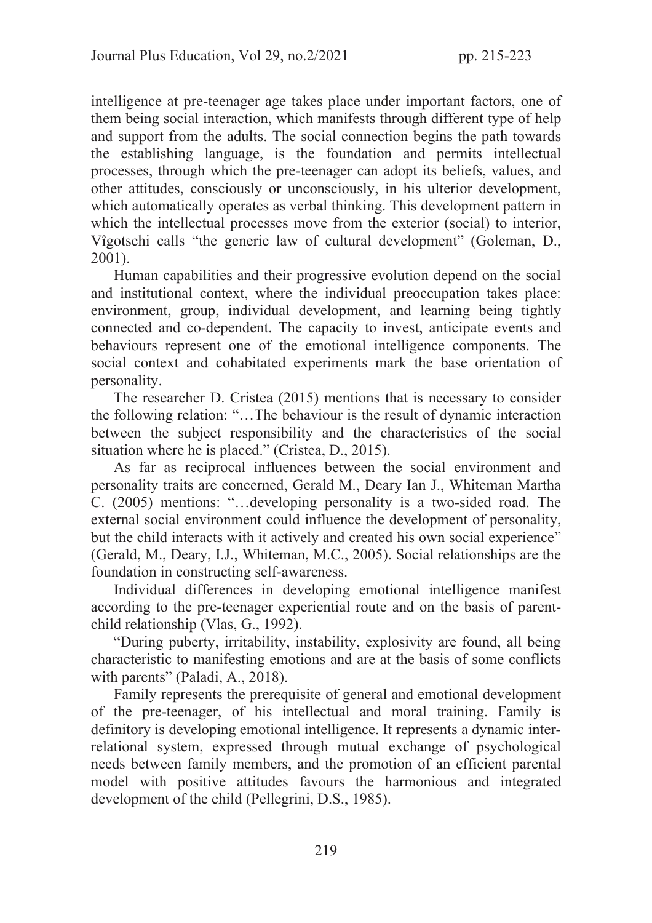intelligence at pre-teenager age takes place under important factors, one of them being social interaction, which manifests through different type of help and support from the adults. The social connection begins the path towards the establishing language, is the foundation and permits intellectual processes, through which the pre-teenager can adopt its beliefs, values, and other attitudes, consciously or unconsciously, in his ulterior development, which automatically operates as verbal thinking. This development pattern in which the intellectual processes move from the exterior (social) to interior, Vîgotschi calls "the generic law of cultural development" (Goleman, D., 2001).

Human capabilities and their progressive evolution depend on the social and institutional context, where the individual preoccupation takes place: environment, group, individual development, and learning being tightly connected and co-dependent. The capacity to invest, anticipate events and behaviours represent one of the emotional intelligence components. The social context and cohabitated experiments mark the base orientation of personality.

The researcher D. Cristea (2015) mentions that is necessary to consider the following relation: "…The behaviour is the result of dynamic interaction between the subject responsibility and the characteristics of the social situation where he is placed." (Cristea, D., 2015).

As far as reciprocal influences between the social environment and personality traits are concerned, Gerald M., Deary Ian J., Whiteman Martha C. (2005) mentions: "…developing personality is a two-sided road. The external social environment could influence the development of personality, but the child interacts with it actively and created his own social experience" (Gerald, M., Deary, I.J., Whiteman, M.C., 2005). Social relationships are the foundation in constructing self-awareness.

Individual differences in developing emotional intelligence manifest according to the pre-teenager experiential route and on the basis of parentchild relationship (Vlas, G., 1992).

"During puberty, irritability, instability, explosivity are found, all being characteristic to manifesting emotions and are at the basis of some conflicts with parents" (Paladi, A., 2018).

Family represents the prerequisite of general and emotional development of the pre-teenager, of his intellectual and moral training. Family is definitory is developing emotional intelligence. It represents a dynamic interrelational system, expressed through mutual exchange of psychological needs between family members, and the promotion of an efficient parental model with positive attitudes favours the harmonious and integrated development of the child (Pellegrini, D.S., 1985).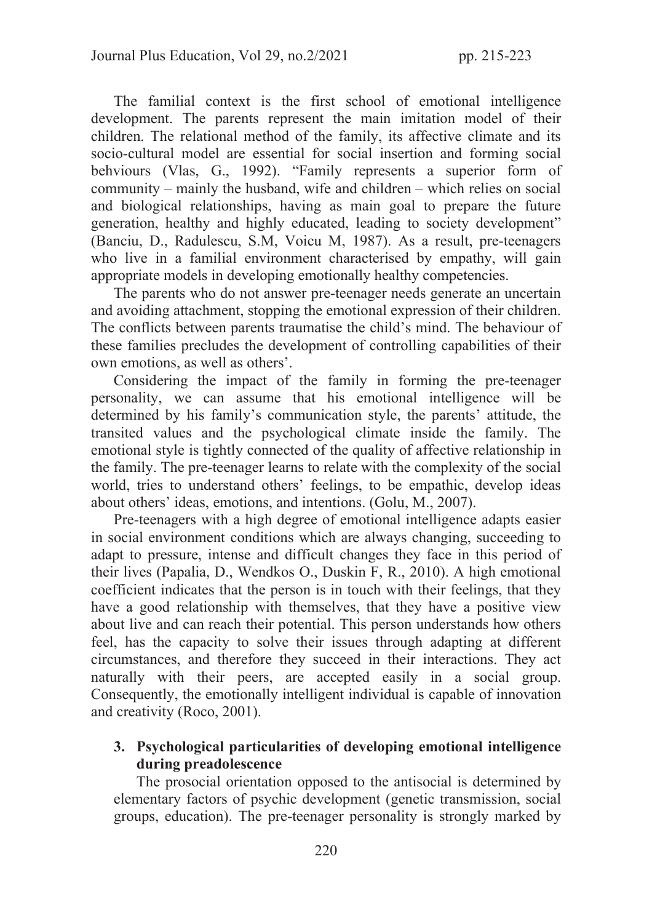The familial context is the first school of emotional intelligence development. The parents represent the main imitation model of their children. The relational method of the family, its affective climate and its socio-cultural model are essential for social insertion and forming social behviours (Vlas, G., 1992). "Family represents a superior form of community – mainly the husband, wife and children – which relies on social and biological relationships, having as main goal to prepare the future generation, healthy and highly educated, leading to society development" (Banciu, D., Radulescu, S.M, Voicu M, 1987). As a result, pre-teenagers who live in a familial environment characterised by empathy, will gain appropriate models in developing emotionally healthy competencies.

The parents who do not answer pre-teenager needs generate an uncertain and avoiding attachment, stopping the emotional expression of their children. The conflicts between parents traumatise the child's mind. The behaviour of these families precludes the development of controlling capabilities of their own emotions, as well as others'.

Considering the impact of the family in forming the pre-teenager personality, we can assume that his emotional intelligence will be determined by his family's communication style, the parents' attitude, the transited values and the psychological climate inside the family. The emotional style is tightly connected of the quality of affective relationship in the family. The pre-teenager learns to relate with the complexity of the social world, tries to understand others' feelings, to be empathic, develop ideas about others' ideas, emotions, and intentions. (Golu, M., 2007).

Pre-teenagers with a high degree of emotional intelligence adapts easier in social environment conditions which are always changing, succeeding to adapt to pressure, intense and difficult changes they face in this period of their lives (Papalia, D., Wendkos O., Duskin F, R., 2010). A high emotional coefficient indicates that the person is in touch with their feelings, that they have a good relationship with themselves, that they have a positive view about live and can reach their potential. This person understands how others feel, has the capacity to solve their issues through adapting at different circumstances, and therefore they succeed in their interactions. They act naturally with their peers, are accepted easily in a social group. Consequently, the emotionally intelligent individual is capable of innovation and creativity (Roco, 2001).

## 3. Psychological particularities of developing emotional intelligence during preadolescence

The prosocial orientation opposed to the antisocial is determined by elementary factors of psychic development (genetic transmission, social groups, education). The pre-teenager personality is strongly marked by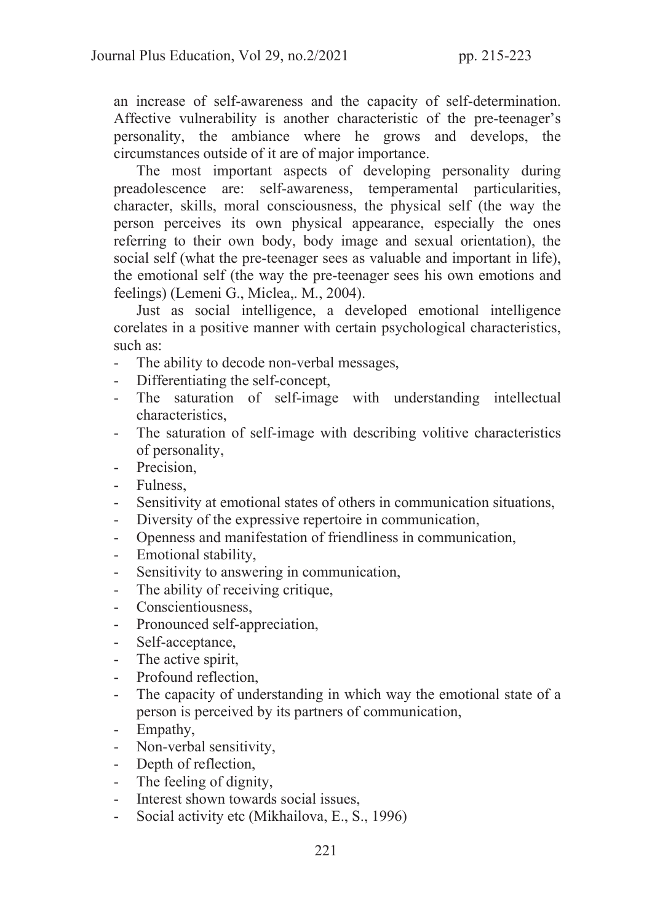an increase of self-awareness and the capacity of self-determination. Affective vulnerability is another characteristic of the pre-teenager's personality, the ambiance where he grows and develops, the circumstances outside of it are of major importance.

The most important aspects of developing personality during preadolescence are: self-awareness, temperamental particularities, character, skills, moral consciousness, the physical self (the way the person perceives its own physical appearance, especially the ones referring to their own body, body image and sexual orientation), the social self (what the pre-teenager sees as valuable and important in life), the emotional self (the way the pre-teenager sees his own emotions and feelings) (Lemeni G., Miclea,. M., 2004).

Just as social intelligence, a developed emotional intelligence corelates in a positive manner with certain psychological characteristics, such as:

- The ability to decode non-verbal messages,
- Differentiating the self-concept,
- The saturation of self-image with understanding intellectual characteristics,
- The saturation of self-image with describing volitive characteristics of personality,
- Precision,
- Fulness,
- Sensitivity at emotional states of others in communication situations,
- Diversity of the expressive repertoire in communication,
- Openness and manifestation of friendliness in communication,
- Emotional stability,
- Sensitivity to answering in communication,
- The ability of receiving critique,
- Conscientiousness,
- Pronounced self-appreciation,
- Self-acceptance,
- The active spirit,
- Profound reflection,
- The capacity of understanding in which way the emotional state of a person is perceived by its partners of communication,
- Empathy,
- Non-verbal sensitivity,
- Depth of reflection,
- The feeling of dignity,
- Interest shown towards social issues,
- Social activity etc (Mikhailova, E., S., 1996)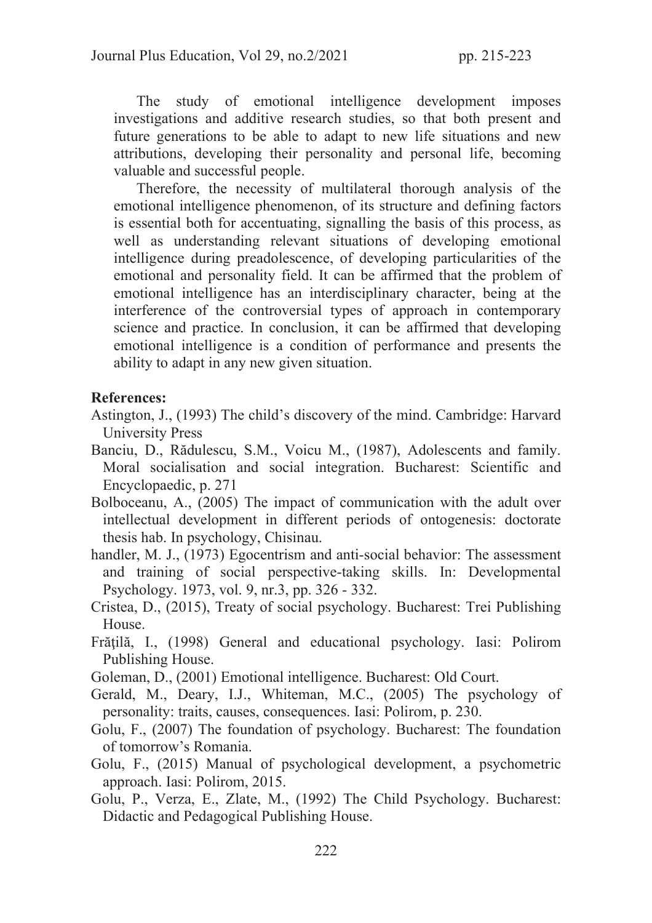The study of emotional intelligence development imposes investigations and additive research studies, so that both present and future generations to be able to adapt to new life situations and new attributions, developing their personality and personal life, becoming valuable and successful people.

Therefore, the necessity of multilateral thorough analysis of the emotional intelligence phenomenon, of its structure and defining factors is essential both for accentuating, signalling the basis of this process, as well as understanding relevant situations of developing emotional intelligence during preadolescence, of developing particularities of the emotional and personality field. It can be affirmed that the problem of emotional intelligence has an interdisciplinary character, being at the interference of the controversial types of approach in contemporary science and practice. In conclusion, it can be affirmed that developing emotional intelligence is a condition of performance and presents the ability to adapt in any new given situation.

### References:

- Astington, J., (1993) The child's discovery of the mind. Cambridge: Harvard University Press
- Banciu, D., Rădulescu, S.M., Voicu M., (1987), Adolescents and family. Moral socialisation and social integration. Bucharest: Scientific and Encyclopaedic, p. 271
- Bolboceanu, A., (2005) The impact of communication with the adult over intellectual development in different periods of ontogenesis: doctorate thesis hab. In psychology, Chisinau.
- handler, M. J., (1973) Egocentrism and anti-social behavior: The assessment and training of social perspective-taking skills. In: Developmental Psychology. 1973, vol. 9, nr.3, pp. 326 - 332.
- Cristea, D., (2015), Treaty of social psychology. Bucharest: Trei Publishing House.
- Frăţilă, I., (1998) General and educational psychology. Iasi: Polirom Publishing House.
- Goleman, D., (2001) Emotional intelligence. Bucharest: Old Court.
- Gerald, M., Deary, I.J., Whiteman, M.C., (2005) The psychology of personality: traits, causes, consequences. Iasi: Polirom, p. 230.
- Golu, F., (2007) The foundation of psychology. Bucharest: The foundation of tomorrow's Romania.
- Golu, F., (2015) Manual of psychological development, a psychometric approach. Iasi: Polirom, 2015.
- Golu, P., Verza, E., Zlate, M., (1992) The Child Psychology. Bucharest: Didactic and Pedagogical Publishing House.